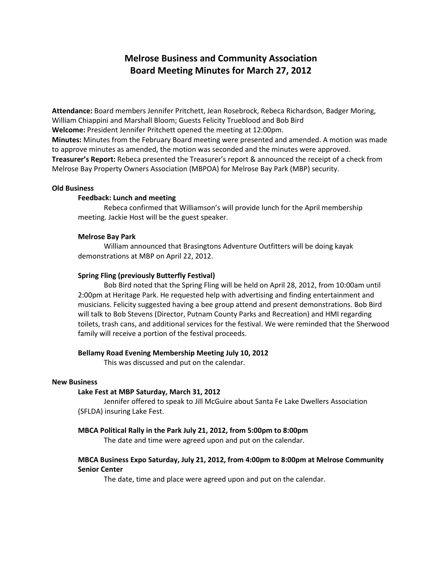# **Melrose Business and Community Association Board Meeting Minutes for March 27, 2012**

**Attendance:** Board members Jennifer Pritchett, Jean Rosebrock, Rebeca Richardson, Badger Moring, William Chiappini and Marshall Bloom; Guests Felicity Trueblood and Bob Bird **Welcome:** President Jennifer Pritchett opened the meeting at 12:00pm. **Minutes:** Minutes from the February Board meeting were presented and amended. A motion was made to approve minutes as amended, the motion was seconded and the minutes were approved. **Treasurer's Report:** Rebeca presented the Treasurer's report & announced the receipt of a check from Melrose Bay Property Owners Association (MBPOA) for Melrose Bay Park (MBP) security.

#### **Old Business**

### **Feedback: Lunch and meeting**

Rebeca confirmed that Williamson's will provide lunch for the April membership meeting. Jackie Host will be the guest speaker.

#### **Melrose Bay Park**

William announced that Brasingtons Adventure Outfitters will be doing kayak demonstrations at MBP on April 22, 2012.

#### **Spring Fling (previously Butterfly Festival)**

Bob Bird noted that the Spring Fling will be held on April 28, 2012, from 10:00am until 2:00pm at Heritage Park. He requested help with advertising and finding entertainment and musicians. Felicity suggested having a bee group attend and present demonstrations. Bob Bird will talk to Bob Stevens (Director, Putnam County Parks and Recreation) and HMI regarding toilets, trash cans, and additional services for the festival. We were reminded that the Sherwood family will receive a portion of the festival proceeds.

#### **Bellamy Road Evening Membership Meeting July 10, 2012**

This was discussed and put on the calendar.

#### **New Business**

### **Lake Fest at MBP Saturday, March 31, 2012**

Jennifer offered to speak to Jill McGuire about Santa Fe Lake Dwellers Association (SFLDA) insuring Lake Fest.

#### **MBCA Political Rally in the Park July 21, 2012, from 5:00pm to 8:00pm**

The date and time were agreed upon and put on the calendar.

## **MBCA Business Expo Saturday, July 21, 2012, from 4:00pm to 8:00pm at Melrose Community Senior Center**

The date, time and place were agreed upon and put on the calendar.